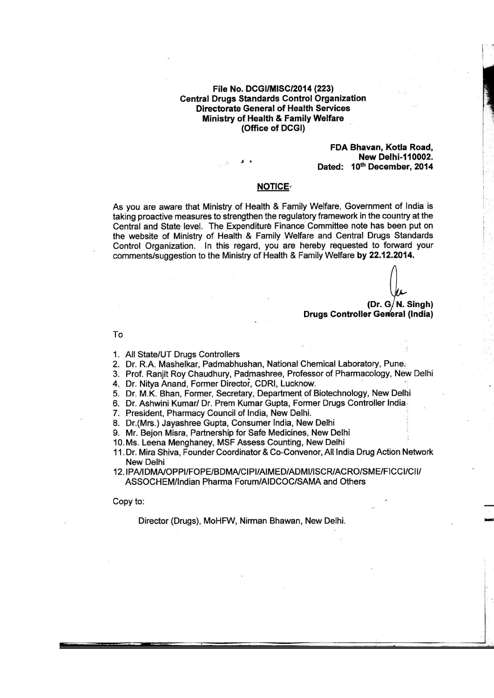### File No. DCGI/MISC/2014 (223) **Central Drugs Standards Control Organization Directorate General of Health Services** Ministry of Health & Family Welfare (Office of DCGI)

### FDA Bhavan, Kotla Road, **New Delhi-110002.** Dated: 10th December, 2014

# **NOTICE**

As you are aware that Ministry of Health & Family Welfare, Government of India is taking proactive measures to strengthen the regulatory framework in the country at the Central and State level. The Expenditure Finance Committee note has been put on the website of Ministry of Health & Family Welfare and Central Drugs Standards Control Organization. In this regard, you are hereby requested to forward your comments/suggestion to the Ministry of Health & Family Welfare by 22.12.2014.

(Dr.  $G/N$ . Singh) **Drugs Controller General (India)** 

To

- 1. All State/UT Drugs Controllers
- 2. Dr. R.A. Mashelkar, Padmabhushan, National Chemical Laboratory, Pune.
- 3. Prof. Ranjit Roy Chaudhury, Padmashree, Professor of Pharmacology, New Delhi
- 4. Dr. Nitya Anand, Former Director, CDRI, Lucknow.
- 5. Dr. M.K. Bhan, Former, Secretary, Department of Biotechnology, New Delhi
- 6. Dr. Ashwini Kumar/ Dr. Prem Kumar Gupta, Former Drugs Controller India
- 7. President, Pharmacy Council of India, New Delhi.
- 8. Dr. (Mrs.) Javashree Gupta, Consumer India, New Delhi
- 9. Mr. Bejon Misra, Partnership for Safe Medicines, New Delhi
- 10. Ms. Leena Menghaney, MSF Assess Counting, New Delhi
- 11. Dr. Mira Shiva. Founder Coordinator & Co-Convenor, All India Drug Action Network **New Delhi**
- 12. IPA/IDMA/OPPI/FOPE/BDMA/CIPI/AIMED/ADMI/ISCR/ACRO/SME/FICCI/CII/ ASSOCHEM/Indian Pharma Forum/AIDCOC/SAMA and Others

Copy to:

Director (Drugs), MoHFW, Nirman Bhawan, New Delhi.